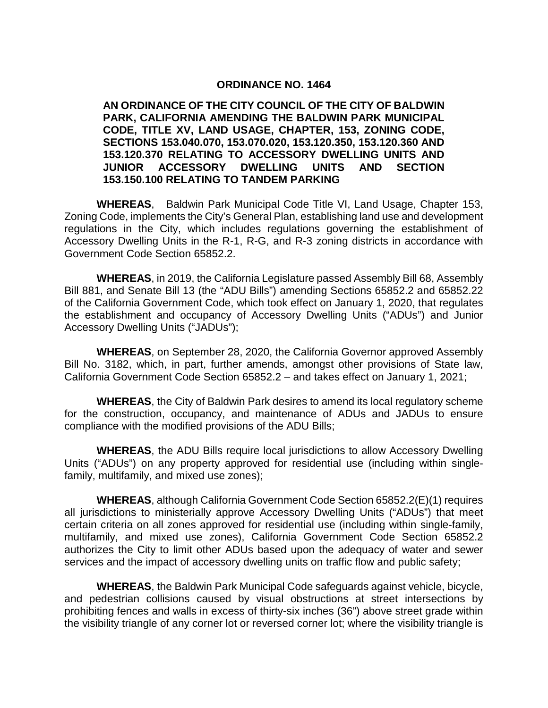#### **ORDINANCE NO. 1464**

**AN ORDINANCE OF THE CITY COUNCIL OF THE CITY OF BALDWIN PARK, CALIFORNIA AMENDING THE BALDWIN PARK MUNICIPAL CODE, TITLE XV, LAND USAGE, CHAPTER, 153, ZONING CODE, SECTIONS 153.040.070, 153.070.020, 153.120.350, 153.120.360 AND 153.120.370 RELATING TO ACCESSORY DWELLING UNITS AND JUNIOR ACCESSORY DWELLING UNITS AND SECTION 153.150.100 RELATING TO TANDEM PARKING**

**WHEREAS**, Baldwin Park Municipal Code Title VI, Land Usage, Chapter 153, Zoning Code, implements the City's General Plan, establishing land use and development regulations in the City, which includes regulations governing the establishment of Accessory Dwelling Units in the R-1, R-G, and R-3 zoning districts in accordance with Government Code Section 65852.2.

**WHEREAS**, in 2019, the California Legislature passed Assembly Bill 68, Assembly Bill 881, and Senate Bill 13 (the "ADU Bills") amending Sections 65852.2 and 65852.22 of the California Government Code, which took effect on January 1, 2020, that regulates the establishment and occupancy of Accessory Dwelling Units ("ADUs") and Junior Accessory Dwelling Units ("JADUs");

**WHEREAS**, on September 28, 2020, the California Governor approved Assembly Bill No. 3182, which, in part, further amends, amongst other provisions of State law, California Government Code Section 65852.2 – and takes effect on January 1, 2021;

**WHEREAS**, the City of Baldwin Park desires to amend its local regulatory scheme for the construction, occupancy, and maintenance of ADUs and JADUs to ensure compliance with the modified provisions of the ADU Bills;

**WHEREAS**, the ADU Bills require local jurisdictions to allow Accessory Dwelling Units ("ADUs") on any property approved for residential use (including within singlefamily, multifamily, and mixed use zones);

**WHEREAS**, although California Government Code Section 65852.2(E)(1) requires all jurisdictions to ministerially approve Accessory Dwelling Units ("ADUs") that meet certain criteria on all zones approved for residential use (including within single-family, multifamily, and mixed use zones), California Government Code Section 65852.2 authorizes the City to limit other ADUs based upon the adequacy of water and sewer services and the impact of accessory dwelling units on traffic flow and public safety;

**WHEREAS**, the Baldwin Park Municipal Code safeguards against vehicle, bicycle, and pedestrian collisions caused by visual obstructions at street intersections by prohibiting fences and walls in excess of thirty-six inches (36") above street grade within the visibility triangle of any corner lot or reversed corner lot; where the visibility triangle is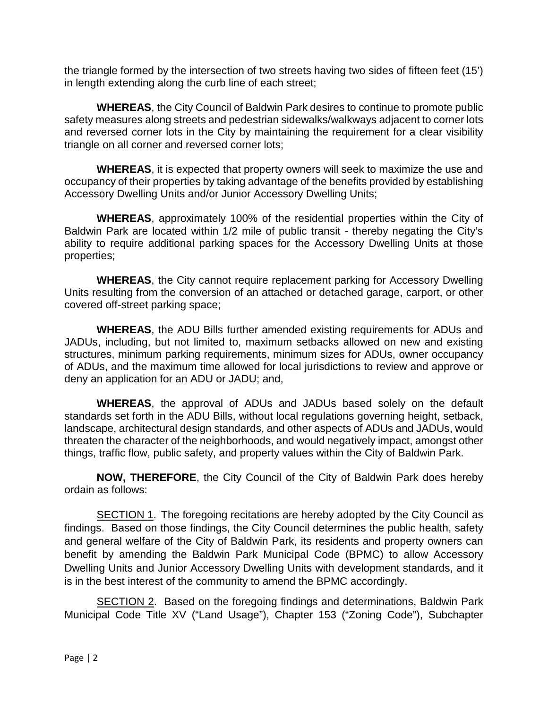the triangle formed by the intersection of two streets having two sides of fifteen feet (15') in length extending along the curb line of each street;

**WHEREAS**, the City Council of Baldwin Park desires to continue to promote public safety measures along streets and pedestrian sidewalks/walkways adjacent to corner lots and reversed corner lots in the City by maintaining the requirement for a clear visibility triangle on all corner and reversed corner lots;

**WHEREAS**, it is expected that property owners will seek to maximize the use and occupancy of their properties by taking advantage of the benefits provided by establishing Accessory Dwelling Units and/or Junior Accessory Dwelling Units;

**WHEREAS**, approximately 100% of the residential properties within the City of Baldwin Park are located within 1/2 mile of public transit - thereby negating the City's ability to require additional parking spaces for the Accessory Dwelling Units at those properties;

**WHEREAS**, the City cannot require replacement parking for Accessory Dwelling Units resulting from the conversion of an attached or detached garage, carport, or other covered off-street parking space;

**WHEREAS**, the ADU Bills further amended existing requirements for ADUs and JADUs, including, but not limited to, maximum setbacks allowed on new and existing structures, minimum parking requirements, minimum sizes for ADUs, owner occupancy of ADUs, and the maximum time allowed for local jurisdictions to review and approve or deny an application for an ADU or JADU; and,

**WHEREAS**, the approval of ADUs and JADUs based solely on the default standards set forth in the ADU Bills, without local regulations governing height, setback, landscape, architectural design standards, and other aspects of ADUs and JADUs, would threaten the character of the neighborhoods, and would negatively impact, amongst other things, traffic flow, public safety, and property values within the City of Baldwin Park.

**NOW, THEREFORE**, the City Council of the City of Baldwin Park does hereby ordain as follows:

SECTION 1. The foregoing recitations are hereby adopted by the City Council as findings. Based on those findings, the City Council determines the public health, safety and general welfare of the City of Baldwin Park, its residents and property owners can benefit by amending the Baldwin Park Municipal Code (BPMC) to allow Accessory Dwelling Units and Junior Accessory Dwelling Units with development standards, and it is in the best interest of the community to amend the BPMC accordingly.

**SECTION 2.** Based on the foregoing findings and determinations, Baldwin Park Municipal Code Title XV ("Land Usage"), Chapter 153 ("Zoning Code"), Subchapter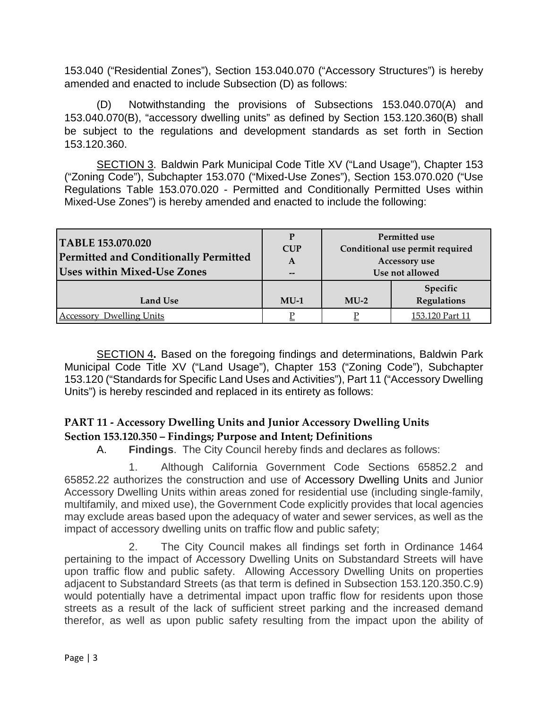153.040 ("Residential Zones"), Section 153.040.070 ("Accessory Structures") is hereby amended and enacted to include Subsection (D) as follows:

(D) Notwithstanding the provisions of Subsections 153.040.070(A) and 153.040.070(B), "accessory dwelling units" as defined by Section 153.120.360(B) shall be subject to the regulations and development standards as set forth in Section 153.120.360.

SECTION 3. Baldwin Park Municipal Code Title XV ("Land Usage"), Chapter 153 ("Zoning Code"), Subchapter 153.070 ("Mixed-Use Zones"), Section 153.070.020 ("Use Regulations Table 153.070.020 - Permitted and Conditionally Permitted Uses within Mixed-Use Zones") is hereby amended and enacted to include the following:

| TABLE 153.070.020<br>Permitted and Conditionally Permitted<br><b>Uses within Mixed-Use Zones</b> | P<br><b>CUP</b><br>A<br>$- -$ | Permitted use<br>Conditional use permit required<br>Accessory use<br>Use not allowed |                         |
|--------------------------------------------------------------------------------------------------|-------------------------------|--------------------------------------------------------------------------------------|-------------------------|
| Land Use                                                                                         | $MU-1$                        | $MU-2$                                                                               | Specific<br>Regulations |
| <b>Accessory Dwelling Units</b>                                                                  |                               |                                                                                      | 153.120 Part 11         |

SECTION 4**.** Based on the foregoing findings and determinations, Baldwin Park Municipal Code Title XV ("Land Usage"), Chapter 153 ("Zoning Code"), Subchapter 153.120 ("Standards for Specific Land Uses and Activities"), Part 11 ("Accessory Dwelling Units") is hereby rescinded and replaced in its entirety as follows:

# **PART 11 - Accessory Dwelling Units and Junior Accessory Dwelling Units Section 153.120.350 – Findings; Purpose and Intent; Definitions**

A. **Findings**. The City Council hereby finds and declares as follows:

1. Although California Government Code Sections 65852.2 and 65852.22 authorizes the construction and use of Accessory Dwelling Units and Junior Accessory Dwelling Units within areas zoned for residential use (including single-family, multifamily, and mixed use), the Government Code explicitly provides that local agencies may exclude areas based upon the adequacy of water and sewer services, as well as the impact of accessory dwelling units on traffic flow and public safety;

2. The City Council makes all findings set forth in Ordinance 1464 pertaining to the impact of Accessory Dwelling Units on Substandard Streets will have upon traffic flow and public safety. Allowing Accessory Dwelling Units on properties adjacent to Substandard Streets (as that term is defined in Subsection 153.120.350.C.9) would potentially have a detrimental impact upon traffic flow for residents upon those streets as a result of the lack of sufficient street parking and the increased demand therefor, as well as upon public safety resulting from the impact upon the ability of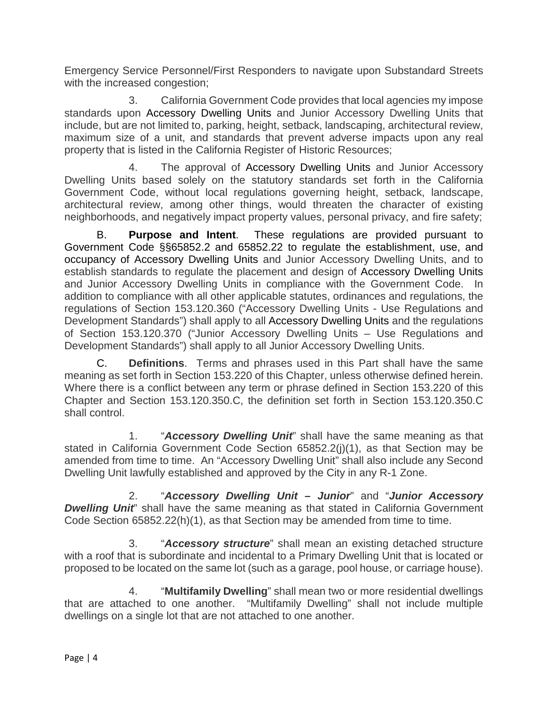Emergency Service Personnel/First Responders to navigate upon Substandard Streets with the increased congestion;

3. California Government Code provides that local agencies my impose standards upon Accessory Dwelling Units and Junior Accessory Dwelling Units that include, but are not limited to, parking, height, setback, landscaping, architectural review, maximum size of a unit, and standards that prevent adverse impacts upon any real property that is listed in the California Register of Historic Resources;

4. The approval of Accessory Dwelling Units and Junior Accessory Dwelling Units based solely on the statutory standards set forth in the California Government Code, without local regulations governing height, setback, landscape, architectural review, among other things, would threaten the character of existing neighborhoods, and negatively impact property values, personal privacy, and fire safety;

B. **Purpose and Intent**. These regulations are provided pursuant to Government Code §§65852.2 and 65852.22 to regulate the establishment, use, and occupancy of Accessory Dwelling Units and Junior Accessory Dwelling Units, and to establish standards to regulate the placement and design of Accessory Dwelling Units and Junior Accessory Dwelling Units in compliance with the Government Code. In addition to compliance with all other applicable statutes, ordinances and regulations, the regulations of Section 153.120.360 ("Accessory Dwelling Units - Use Regulations and Development Standards") shall apply to all Accessory Dwelling Units and the regulations of Section 153.120.370 ("Junior Accessory Dwelling Units – Use Regulations and Development Standards") shall apply to all Junior Accessory Dwelling Units.

C. **Definitions**. Terms and phrases used in this Part shall have the same meaning as set forth in Section 153.220 of this Chapter, unless otherwise defined herein. Where there is a conflict between any term or phrase defined in Section 153.220 of this Chapter and Section 153.120.350.C, the definition set forth in Section 153.120.350.C shall control.

1. "*Accessory Dwelling Unit*" shall have the same meaning as that stated in California Government Code Section 65852.2(j)(1), as that Section may be amended from time to time. An "Accessory Dwelling Unit" shall also include any Second Dwelling Unit lawfully established and approved by the City in any R-1 Zone.

2. "*Accessory Dwelling Unit – Junior*" and "*Junior Accessory*  **Dwelling Unit**" shall have the same meaning as that stated in California Government Code Section 65852.22(h)(1), as that Section may be amended from time to time.

3. "*Accessory structure*" shall mean an existing detached structure with a roof that is subordinate and incidental to a Primary Dwelling Unit that is located or proposed to be located on the same lot (such as a garage, pool house, or carriage house).

4. "**Multifamily Dwelling**" shall mean two or more residential dwellings that are attached to one another. "Multifamily Dwelling" shall not include multiple dwellings on a single lot that are not attached to one another.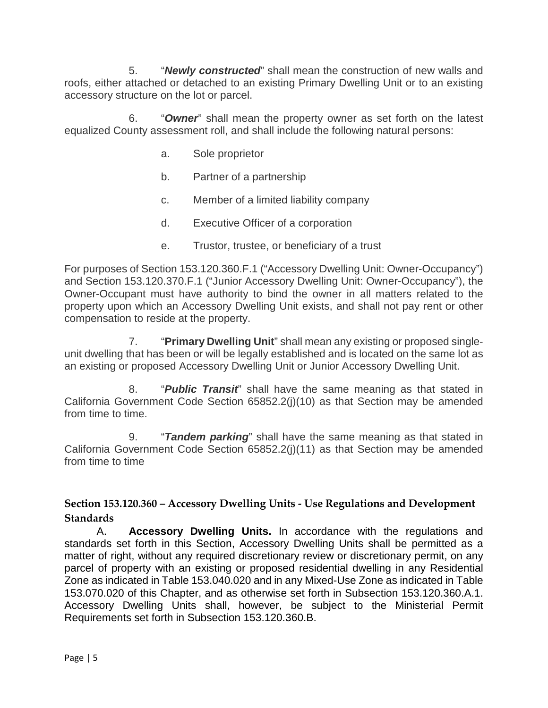5. "*Newly constructed*" shall mean the construction of new walls and roofs, either attached or detached to an existing Primary Dwelling Unit or to an existing accessory structure on the lot or parcel.

6. "*Owner*" shall mean the property owner as set forth on the latest equalized County assessment roll, and shall include the following natural persons:

- a. Sole proprietor
- b. Partner of a partnership
- c. Member of a limited liability company
- d. Executive Officer of a corporation
- e. Trustor, trustee, or beneficiary of a trust

For purposes of Section 153.120.360.F.1 ("Accessory Dwelling Unit: Owner-Occupancy") and Section 153.120.370.F.1 ("Junior Accessory Dwelling Unit: Owner-Occupancy"), the Owner-Occupant must have authority to bind the owner in all matters related to the property upon which an Accessory Dwelling Unit exists, and shall not pay rent or other compensation to reside at the property.

7. "**Primary Dwelling Unit**" shall mean any existing or proposed singleunit dwelling that has been or will be legally established and is located on the same lot as an existing or proposed Accessory Dwelling Unit or Junior Accessory Dwelling Unit.

8. "*Public Transit*" shall have the same meaning as that stated in California Government Code Section 65852.2(j)(10) as that Section may be amended from time to time.

9. "*Tandem parking*" shall have the same meaning as that stated in California Government Code Section 65852.2(j)(11) as that Section may be amended from time to time

### **Section 153.120.360 – Accessory Dwelling Units - Use Regulations and Development Standards**

A. **Accessory Dwelling Units.** In accordance with the regulations and standards set forth in this Section, Accessory Dwelling Units shall be permitted as a matter of right, without any required discretionary review or discretionary permit, on any parcel of property with an existing or proposed residential dwelling in any Residential Zone as indicated in Table 153.040.020 and in any Mixed-Use Zone as indicated in Table 153.070.020 of this Chapter, and as otherwise set forth in Subsection 153.120.360.A.1. Accessory Dwelling Units shall, however, be subject to the Ministerial Permit Requirements set forth in Subsection 153.120.360.B.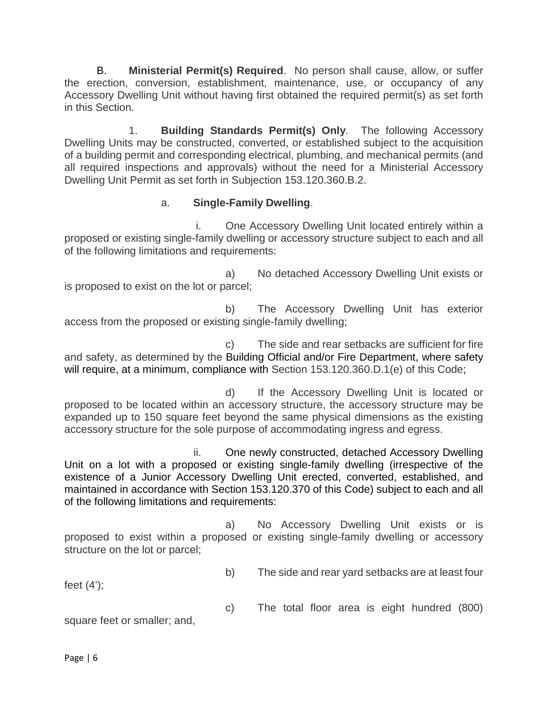B. **Ministerial Permit(s) Required**. No person shall cause, allow, or suffer the erection, conversion, establishment, maintenance, use, or occupancy of any Accessory Dwelling Unit without having first obtained the required permit(s) as set forth in this Section.

1. **Building Standards Permit(s) Only**. The following Accessory Dwelling Units may be constructed, converted, or established subject to the acquisition of a building permit and corresponding electrical, plumbing, and mechanical permits (and all required inspections and approvals) without the need for a Ministerial Accessory Dwelling Unit Permit as set forth in Subjection 153.120.360.B.2.

### a. **Single-Family Dwelling**.

i. One Accessory Dwelling Unit located entirely within a proposed or existing single-family dwelling or accessory structure subject to each and all of the following limitations and requirements:

a) No detached Accessory Dwelling Unit exists or is proposed to exist on the lot or parcel;

b) The Accessory Dwelling Unit has exterior access from the proposed or existing single-family dwelling;

c) The side and rear setbacks are sufficient for fire and safety, as determined by the Building Official and/or Fire Department, where safety will require, at a minimum, compliance with Section 153.120.360.D.1(e) of this Code;

d) If the Accessory Dwelling Unit is located or proposed to be located within an accessory structure, the accessory structure may be expanded up to 150 square feet beyond the same physical dimensions as the existing accessory structure for the sole purpose of accommodating ingress and egress.

ii. One newly constructed, detached Accessory Dwelling Unit on a lot with a proposed or existing single-family dwelling (irrespective of the existence of a Junior Accessory Dwelling Unit erected, converted, established, and maintained in accordance with Section 153.120.370 of this Code) subject to each and all of the following limitations and requirements:

a) No Accessory Dwelling Unit exists or is proposed to exist within a proposed or existing single-family dwelling or accessory structure on the lot or parcel;

b) The side and rear yard setbacks are at least four

feet (4');

c) The total floor area is eight hundred (800)

square feet or smaller; and,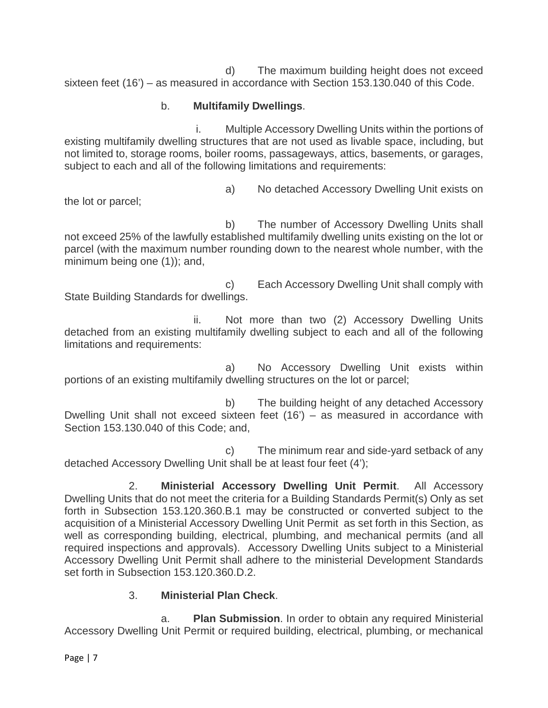d) The maximum building height does not exceed sixteen feet (16') – as measured in accordance with Section 153.130.040 of this Code.

# b. **Multifamily Dwellings**.

i. Multiple Accessory Dwelling Units within the portions of existing multifamily dwelling structures that are not used as livable space, including, but not limited to, storage rooms, boiler rooms, passageways, attics, basements, or garages, subject to each and all of the following limitations and requirements:

the lot or parcel;

a) No detached Accessory Dwelling Unit exists on

b) The number of Accessory Dwelling Units shall not exceed 25% of the lawfully established multifamily dwelling units existing on the lot or parcel (with the maximum number rounding down to the nearest whole number, with the minimum being one (1)); and,

c) Each Accessory Dwelling Unit shall comply with State Building Standards for dwellings.

ii. Not more than two (2) Accessory Dwelling Units detached from an existing multifamily dwelling subject to each and all of the following limitations and requirements:

a) No Accessory Dwelling Unit exists within portions of an existing multifamily dwelling structures on the lot or parcel;

b) The building height of any detached Accessory Dwelling Unit shall not exceed sixteen feet (16') – as measured in accordance with Section 153.130.040 of this Code; and,

c) The minimum rear and side-yard setback of any detached Accessory Dwelling Unit shall be at least four feet (4');

2. **Ministerial Accessory Dwelling Unit Permit**. All Accessory Dwelling Units that do not meet the criteria for a Building Standards Permit(s) Only as set forth in Subsection 153.120.360.B.1 may be constructed or converted subject to the acquisition of a Ministerial Accessory Dwelling Unit Permit as set forth in this Section, as well as corresponding building, electrical, plumbing, and mechanical permits (and all required inspections and approvals). Accessory Dwelling Units subject to a Ministerial Accessory Dwelling Unit Permit shall adhere to the ministerial Development Standards set forth in Subsection 153.120.360.D.2.

### 3. **Ministerial Plan Check**.

a. **Plan Submission**. In order to obtain any required Ministerial Accessory Dwelling Unit Permit or required building, electrical, plumbing, or mechanical

Page | 7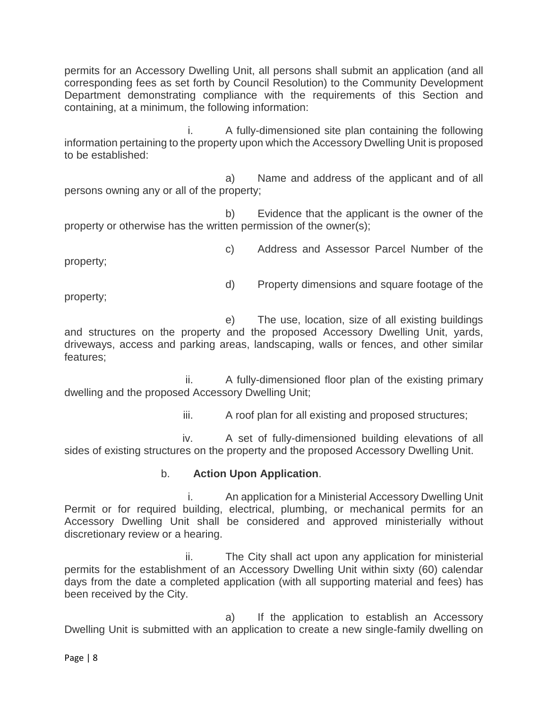permits for an Accessory Dwelling Unit, all persons shall submit an application (and all corresponding fees as set forth by Council Resolution) to the Community Development Department demonstrating compliance with the requirements of this Section and containing, at a minimum, the following information:

i. A fully-dimensioned site plan containing the following information pertaining to the property upon which the Accessory Dwelling Unit is proposed to be established:

a) Name and address of the applicant and of all persons owning any or all of the property;

b) Evidence that the applicant is the owner of the property or otherwise has the written permission of the owner(s);

property;

c) Address and Assessor Parcel Number of the

d) Property dimensions and square footage of the

property;

e) The use, location, size of all existing buildings and structures on the property and the proposed Accessory Dwelling Unit, yards, driveways, access and parking areas, landscaping, walls or fences, and other similar features;

ii. A fully-dimensioned floor plan of the existing primary dwelling and the proposed Accessory Dwelling Unit;

iii. A roof plan for all existing and proposed structures;

iv. A set of fully-dimensioned building elevations of all sides of existing structures on the property and the proposed Accessory Dwelling Unit.

### b. **Action Upon Application**.

i. An application for a Ministerial Accessory Dwelling Unit Permit or for required building, electrical, plumbing, or mechanical permits for an Accessory Dwelling Unit shall be considered and approved ministerially without discretionary review or a hearing.

ii. The City shall act upon any application for ministerial permits for the establishment of an Accessory Dwelling Unit within sixty (60) calendar days from the date a completed application (with all supporting material and fees) has been received by the City.

a) If the application to establish an Accessory Dwelling Unit is submitted with an application to create a new single-family dwelling on

Page | 8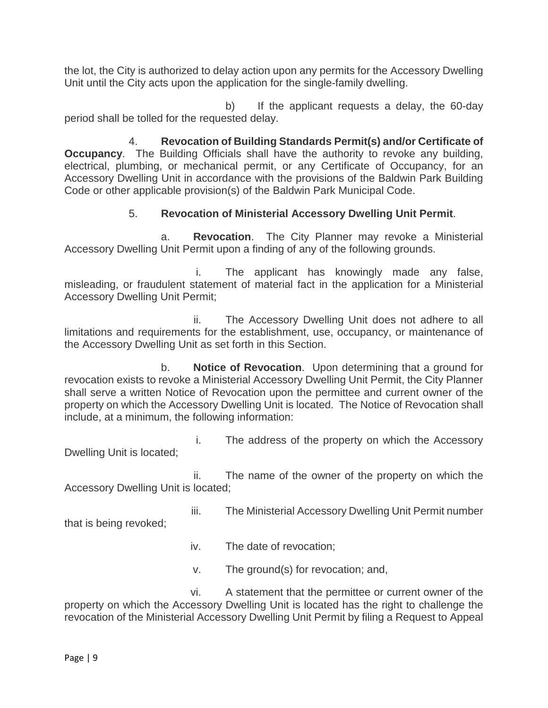the lot, the City is authorized to delay action upon any permits for the Accessory Dwelling Unit until the City acts upon the application for the single-family dwelling.

b) If the applicant requests a delay, the 60-day period shall be tolled for the requested delay.

4. **Revocation of Building Standards Permit(s) and/or Certificate of Occupancy**. The Building Officials shall have the authority to revoke any building, electrical, plumbing, or mechanical permit, or any Certificate of Occupancy, for an Accessory Dwelling Unit in accordance with the provisions of the Baldwin Park Building Code or other applicable provision(s) of the Baldwin Park Municipal Code.

## 5. **Revocation of Ministerial Accessory Dwelling Unit Permit**.

a. **Revocation**. The City Planner may revoke a Ministerial Accessory Dwelling Unit Permit upon a finding of any of the following grounds.

i. The applicant has knowingly made any false, misleading, or fraudulent statement of material fact in the application for a Ministerial Accessory Dwelling Unit Permit;

ii. The Accessory Dwelling Unit does not adhere to all limitations and requirements for the establishment, use, occupancy, or maintenance of the Accessory Dwelling Unit as set forth in this Section.

b. **Notice of Revocation**. Upon determining that a ground for revocation exists to revoke a Ministerial Accessory Dwelling Unit Permit, the City Planner shall serve a written Notice of Revocation upon the permittee and current owner of the property on which the Accessory Dwelling Unit is located. The Notice of Revocation shall include, at a minimum, the following information:

i. The address of the property on which the Accessory Dwelling Unit is located;

ii. The name of the owner of the property on which the Accessory Dwelling Unit is located;

iii. The Ministerial Accessory Dwelling Unit Permit number

that is being revoked;

- iv. The date of revocation;
- v. The ground(s) for revocation; and,

vi. A statement that the permittee or current owner of the property on which the Accessory Dwelling Unit is located has the right to challenge the revocation of the Ministerial Accessory Dwelling Unit Permit by filing a Request to Appeal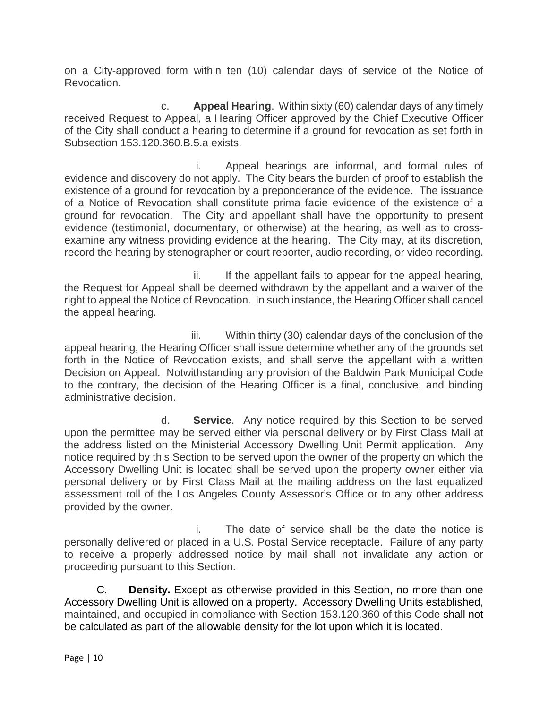on a City-approved form within ten (10) calendar days of service of the Notice of Revocation.

c. **Appeal Hearing**. Within sixty (60) calendar days of any timely received Request to Appeal, a Hearing Officer approved by the Chief Executive Officer of the City shall conduct a hearing to determine if a ground for revocation as set forth in Subsection 153.120.360.B.5.a exists.

i. Appeal hearings are informal, and formal rules of evidence and discovery do not apply. The City bears the burden of proof to establish the existence of a ground for revocation by a preponderance of the evidence. The issuance of a Notice of Revocation shall constitute prima facie evidence of the existence of a ground for revocation. The City and appellant shall have the opportunity to present evidence (testimonial, documentary, or otherwise) at the hearing, as well as to crossexamine any witness providing evidence at the hearing. The City may, at its discretion, record the hearing by stenographer or court reporter, audio recording, or video recording.

ii. If the appellant fails to appear for the appeal hearing, the Request for Appeal shall be deemed withdrawn by the appellant and a waiver of the right to appeal the Notice of Revocation. In such instance, the Hearing Officer shall cancel the appeal hearing.

iii. Within thirty (30) calendar days of the conclusion of the appeal hearing, the Hearing Officer shall issue determine whether any of the grounds set forth in the Notice of Revocation exists, and shall serve the appellant with a written Decision on Appeal. Notwithstanding any provision of the Baldwin Park Municipal Code to the contrary, the decision of the Hearing Officer is a final, conclusive, and binding administrative decision.

d. **Service**. Any notice required by this Section to be served upon the permittee may be served either via personal delivery or by First Class Mail at the address listed on the Ministerial Accessory Dwelling Unit Permit application. Any notice required by this Section to be served upon the owner of the property on which the Accessory Dwelling Unit is located shall be served upon the property owner either via personal delivery or by First Class Mail at the mailing address on the last equalized assessment roll of the Los Angeles County Assessor's Office or to any other address provided by the owner.

i. The date of service shall be the date the notice is personally delivered or placed in a U.S. Postal Service receptacle. Failure of any party to receive a properly addressed notice by mail shall not invalidate any action or proceeding pursuant to this Section.

C. **Density.** Except as otherwise provided in this Section, no more than one Accessory Dwelling Unit is allowed on a property. Accessory Dwelling Units established, maintained, and occupied in compliance with Section 153.120.360 of this Code shall not be calculated as part of the allowable density for the lot upon which it is located.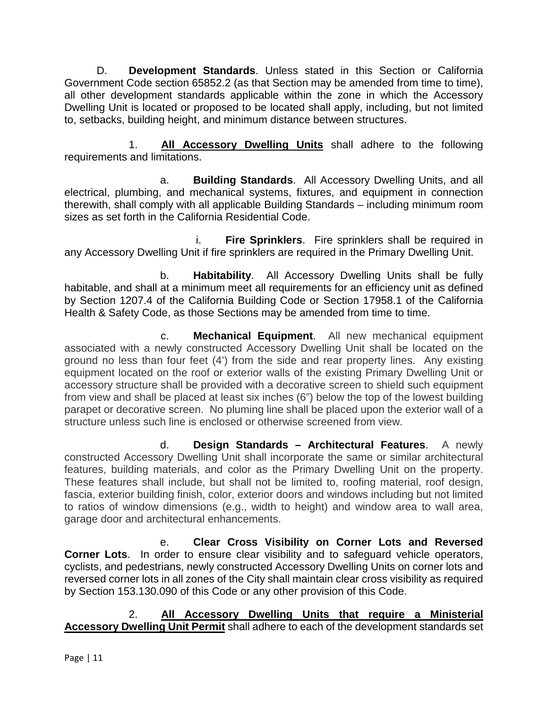D. **Development Standards**. Unless stated in this Section or California Government Code section 65852.2 (as that Section may be amended from time to time), all other development standards applicable within the zone in which the Accessory Dwelling Unit is located or proposed to be located shall apply, including, but not limited to, setbacks, building height, and minimum distance between structures.

1. **All Accessory Dwelling Units** shall adhere to the following requirements and limitations.

a. **Building Standards**. All Accessory Dwelling Units, and all electrical, plumbing, and mechanical systems, fixtures, and equipment in connection therewith, shall comply with all applicable Building Standards – including minimum room sizes as set forth in the California Residential Code.

**Fire Sprinklers.** Fire sprinklers shall be required in any Accessory Dwelling Unit if fire sprinklers are required in the Primary Dwelling Unit.

b. **Habitability**. All Accessory Dwelling Units shall be fully habitable, and shall at a minimum meet all requirements for an efficiency unit as defined by Section 1207.4 of the California Building Code or Section 17958.1 of the California Health & Safety Code, as those Sections may be amended from time to time.

c. **Mechanical Equipment**. All new mechanical equipment associated with a newly constructed Accessory Dwelling Unit shall be located on the ground no less than four feet (4') from the side and rear property lines. Any existing equipment located on the roof or exterior walls of the existing Primary Dwelling Unit or accessory structure shall be provided with a decorative screen to shield such equipment from view and shall be placed at least six inches (6") below the top of the lowest building parapet or decorative screen. No pluming line shall be placed upon the exterior wall of a structure unless such line is enclosed or otherwise screened from view.

d. **Design Standards – Architectural Features**. A newly constructed Accessory Dwelling Unit shall incorporate the same or similar architectural features, building materials, and color as the Primary Dwelling Unit on the property. These features shall include, but shall not be limited to, roofing material, roof design, fascia, exterior building finish, color, exterior doors and windows including but not limited to ratios of window dimensions (e.g., width to height) and window area to wall area, garage door and architectural enhancements.

e. **Clear Cross Visibility on Corner Lots and Reversed Corner Lots**. In order to ensure clear visibility and to safeguard vehicle operators, cyclists, and pedestrians, newly constructed Accessory Dwelling Units on corner lots and reversed corner lots in all zones of the City shall maintain clear cross visibility as required by Section 153.130.090 of this Code or any other provision of this Code.

2. **All Accessory Dwelling Units that require a Ministerial Accessory Dwelling Unit Permit** shall adhere to each of the development standards set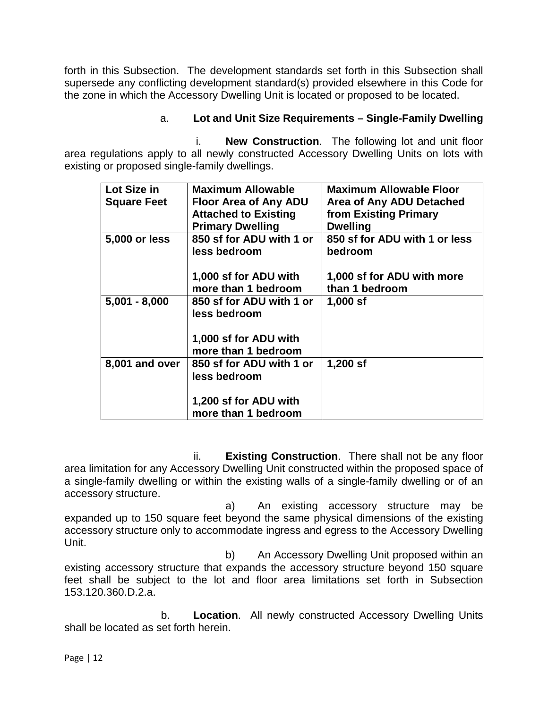forth in this Subsection. The development standards set forth in this Subsection shall supersede any conflicting development standard(s) provided elsewhere in this Code for the zone in which the Accessory Dwelling Unit is located or proposed to be located.

## a. **Lot and Unit Size Requirements – Single-Family Dwelling**

i. **New Construction**. The following lot and unit floor area regulations apply to all newly constructed Accessory Dwelling Units on lots with existing or proposed single-family dwellings.

| Lot Size in        | <b>Maximum Allowable</b>                 | <b>Maximum Allowable Floor</b>           |
|--------------------|------------------------------------------|------------------------------------------|
| <b>Square Feet</b> | <b>Floor Area of Any ADU</b>             | Area of Any ADU Detached                 |
|                    | <b>Attached to Existing</b>              | from Existing Primary                    |
|                    | <b>Primary Dwelling</b>                  | <b>Dwelling</b>                          |
| 5,000 or less      | 850 sf for ADU with 1 or<br>less bedroom | 850 sf for ADU with 1 or less<br>bedroom |
|                    |                                          |                                          |
|                    | 1,000 sf for ADU with                    | 1,000 sf for ADU with more               |
|                    | more than 1 bedroom                      | than 1 bedroom                           |
| $5,001 - 8,000$    | 850 sf for ADU with 1 or<br>less bedroom | $1,000$ sf                               |
|                    |                                          |                                          |
|                    | 1,000 sf for ADU with                    |                                          |
|                    | more than 1 bedroom                      |                                          |
| 8,001 and over     | 850 sf for ADU with 1 or                 | $1,200$ sf                               |
|                    | less bedroom                             |                                          |
|                    |                                          |                                          |
|                    | 1,200 sf for ADU with                    |                                          |
|                    | more than 1 bedroom                      |                                          |

ii. **Existing Construction**. There shall not be any floor area limitation for any Accessory Dwelling Unit constructed within the proposed space of a single-family dwelling or within the existing walls of a single-family dwelling or of an accessory structure.

a) An existing accessory structure may be expanded up to 150 square feet beyond the same physical dimensions of the existing accessory structure only to accommodate ingress and egress to the Accessory Dwelling Unit.

b) An Accessory Dwelling Unit proposed within an existing accessory structure that expands the accessory structure beyond 150 square feet shall be subject to the lot and floor area limitations set forth in Subsection 153.120.360.D.2.a.

b. **Location**. All newly constructed Accessory Dwelling Units shall be located as set forth herein.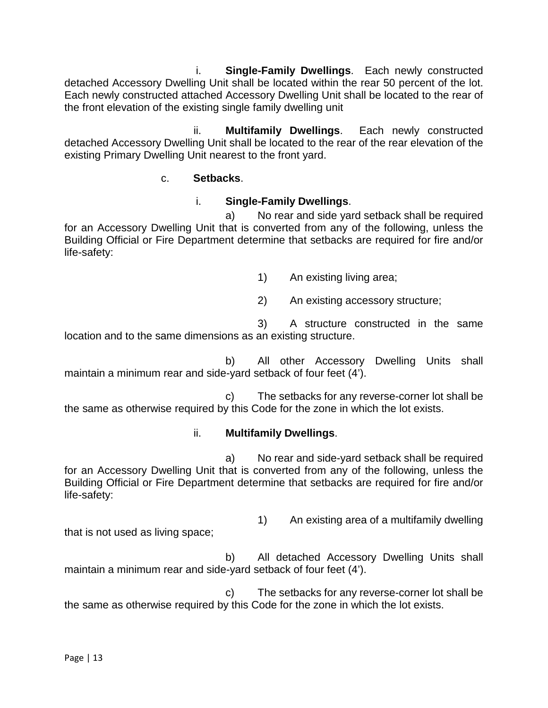i. **Single-Family Dwellings**. Each newly constructed detached Accessory Dwelling Unit shall be located within the rear 50 percent of the lot. Each newly constructed attached Accessory Dwelling Unit shall be located to the rear of the front elevation of the existing single family dwelling unit

ii. **Multifamily Dwellings**. Each newly constructed detached Accessory Dwelling Unit shall be located to the rear of the rear elevation of the existing Primary Dwelling Unit nearest to the front yard.

### c. **Setbacks**.

### i. **Single-Family Dwellings**.

a) No rear and side yard setback shall be required for an Accessory Dwelling Unit that is converted from any of the following, unless the Building Official or Fire Department determine that setbacks are required for fire and/or life-safety:

1) An existing living area;

2) An existing accessory structure;

3) A structure constructed in the same location and to the same dimensions as an existing structure.

b) All other Accessory Dwelling Units shall maintain a minimum rear and side-yard setback of four feet (4').

c) The setbacks for any reverse-corner lot shall be the same as otherwise required by this Code for the zone in which the lot exists.

#### ii. **Multifamily Dwellings**.

a) No rear and side-yard setback shall be required for an Accessory Dwelling Unit that is converted from any of the following, unless the Building Official or Fire Department determine that setbacks are required for fire and/or life-safety:

1) An existing area of a multifamily dwelling

that is not used as living space;

b) All detached Accessory Dwelling Units shall maintain a minimum rear and side-yard setback of four feet (4').

c) The setbacks for any reverse-corner lot shall be the same as otherwise required by this Code for the zone in which the lot exists.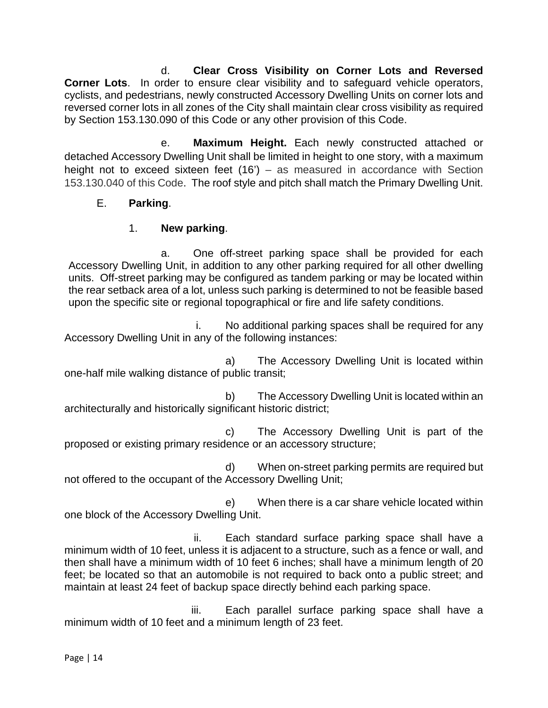d. **Clear Cross Visibility on Corner Lots and Reversed Corner Lots**. In order to ensure clear visibility and to safeguard vehicle operators, cyclists, and pedestrians, newly constructed Accessory Dwelling Units on corner lots and reversed corner lots in all zones of the City shall maintain clear cross visibility as required by Section 153.130.090 of this Code or any other provision of this Code.

e. **Maximum Height.** Each newly constructed attached or detached Accessory Dwelling Unit shall be limited in height to one story, with a maximum height not to exceed sixteen feet (16') – as measured in accordance with Section 153.130.040 of this Code. The roof style and pitch shall match the Primary Dwelling Unit.

### E. **Parking**.

## 1. **New parking**.

a. One off-street parking space shall be provided for each Accessory Dwelling Unit, in addition to any other parking required for all other dwelling units. Off-street parking may be configured as tandem parking or may be located within the rear setback area of a lot, unless such parking is determined to not be feasible based upon the specific site or regional topographical or fire and life safety conditions.

i. No additional parking spaces shall be required for any Accessory Dwelling Unit in any of the following instances:

a) The Accessory Dwelling Unit is located within one-half mile walking distance of public transit;

b) The Accessory Dwelling Unit is located within an architecturally and historically significant historic district;

c) The Accessory Dwelling Unit is part of the proposed or existing primary residence or an accessory structure;

d) When on-street parking permits are required but not offered to the occupant of the Accessory Dwelling Unit;

e) When there is a car share vehicle located within one block of the Accessory Dwelling Unit.

ii. Each standard surface parking space shall have a minimum width of 10 feet, unless it is adjacent to a structure, such as a fence or wall, and then shall have a minimum width of 10 feet 6 inches; shall have a minimum length of 20 feet; be located so that an automobile is not required to back onto a public street; and maintain at least 24 feet of backup space directly behind each parking space.

iii. Each parallel surface parking space shall have a minimum width of 10 feet and a minimum length of 23 feet.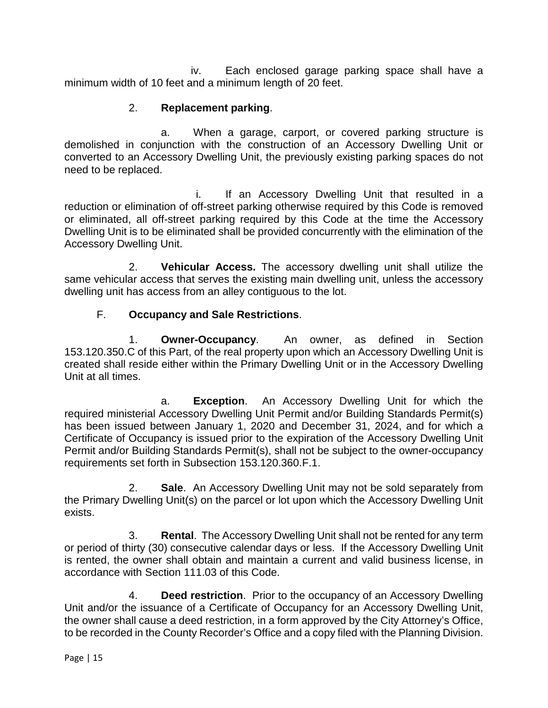iv. Each enclosed garage parking space shall have a minimum width of 10 feet and a minimum length of 20 feet.

## 2. **Replacement parking**.

a. When a garage, carport, or covered parking structure is demolished in conjunction with the construction of an Accessory Dwelling Unit or converted to an Accessory Dwelling Unit, the previously existing parking spaces do not need to be replaced.

i. If an Accessory Dwelling Unit that resulted in a reduction or elimination of off-street parking otherwise required by this Code is removed or eliminated, all off-street parking required by this Code at the time the Accessory Dwelling Unit is to be eliminated shall be provided concurrently with the elimination of the Accessory Dwelling Unit.

2. **Vehicular Access.** The accessory dwelling unit shall utilize the same vehicular access that serves the existing main dwelling unit, unless the accessory dwelling unit has access from an alley contiguous to the lot.

## F. **Occupancy and Sale Restrictions**.

1. **Owner-Occupancy**. An owner, as defined in Section 153.120.350.C of this Part, of the real property upon which an Accessory Dwelling Unit is created shall reside either within the Primary Dwelling Unit or in the Accessory Dwelling Unit at all times.

a. **Exception**. An Accessory Dwelling Unit for which the required ministerial Accessory Dwelling Unit Permit and/or Building Standards Permit(s) has been issued between January 1, 2020 and December 31, 2024, and for which a Certificate of Occupancy is issued prior to the expiration of the Accessory Dwelling Unit Permit and/or Building Standards Permit(s), shall not be subject to the owner-occupancy requirements set forth in Subsection 153.120.360.F.1.

2. **Sale**. An Accessory Dwelling Unit may not be sold separately from the Primary Dwelling Unit(s) on the parcel or lot upon which the Accessory Dwelling Unit exists.

3. **Rental**. The Accessory Dwelling Unit shall not be rented for any term or period of thirty (30) consecutive calendar days or less. If the Accessory Dwelling Unit is rented, the owner shall obtain and maintain a current and valid business license, in accordance with Section 111.03 of this Code.

4. **Deed restriction**. Prior to the occupancy of an Accessory Dwelling Unit and/or the issuance of a Certificate of Occupancy for an Accessory Dwelling Unit, the owner shall cause a deed restriction, in a form approved by the City Attorney's Office, to be recorded in the County Recorder's Office and a copy filed with the Planning Division.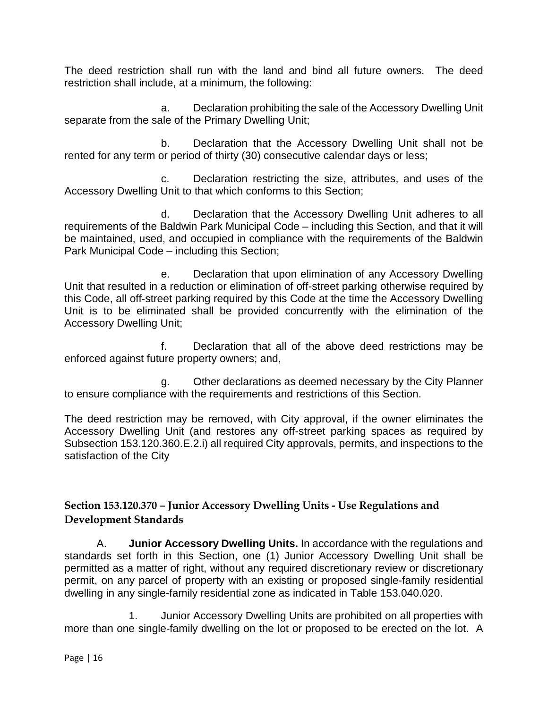The deed restriction shall run with the land and bind all future owners. The deed restriction shall include, at a minimum, the following:

a. Declaration prohibiting the sale of the Accessory Dwelling Unit separate from the sale of the Primary Dwelling Unit;

b. Declaration that the Accessory Dwelling Unit shall not be rented for any term or period of thirty (30) consecutive calendar days or less;

c. Declaration restricting the size, attributes, and uses of the Accessory Dwelling Unit to that which conforms to this Section;

d. Declaration that the Accessory Dwelling Unit adheres to all requirements of the Baldwin Park Municipal Code – including this Section, and that it will be maintained, used, and occupied in compliance with the requirements of the Baldwin Park Municipal Code – including this Section;

e. Declaration that upon elimination of any Accessory Dwelling Unit that resulted in a reduction or elimination of off-street parking otherwise required by this Code, all off-street parking required by this Code at the time the Accessory Dwelling Unit is to be eliminated shall be provided concurrently with the elimination of the Accessory Dwelling Unit;

f. Declaration that all of the above deed restrictions may be enforced against future property owners; and,

g. Other declarations as deemed necessary by the City Planner to ensure compliance with the requirements and restrictions of this Section.

The deed restriction may be removed, with City approval, if the owner eliminates the Accessory Dwelling Unit (and restores any off-street parking spaces as required by Subsection 153.120.360.E.2.i) all required City approvals, permits, and inspections to the satisfaction of the City

## **Section 153.120.370 – Junior Accessory Dwelling Units - Use Regulations and Development Standards**

A. **Junior Accessory Dwelling Units.** In accordance with the regulations and standards set forth in this Section, one (1) Junior Accessory Dwelling Unit shall be permitted as a matter of right, without any required discretionary review or discretionary permit, on any parcel of property with an existing or proposed single-family residential dwelling in any single-family residential zone as indicated in Table 153.040.020.

1. Junior Accessory Dwelling Units are prohibited on all properties with more than one single-family dwelling on the lot or proposed to be erected on the lot. A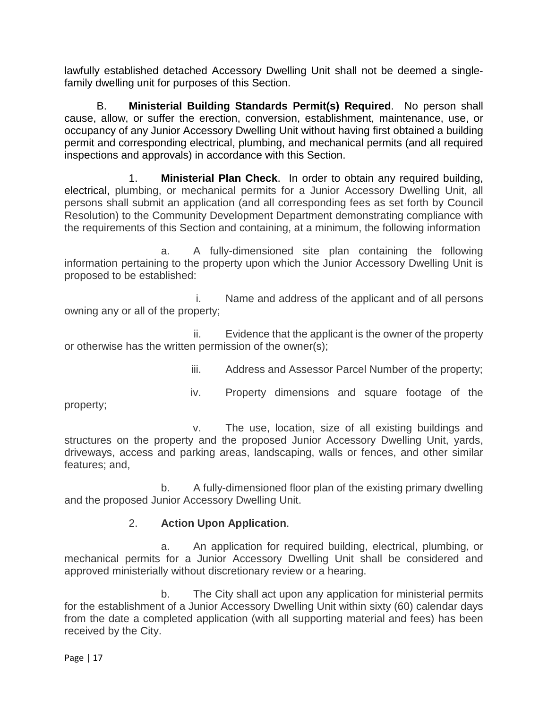lawfully established detached Accessory Dwelling Unit shall not be deemed a singlefamily dwelling unit for purposes of this Section.

B. **Ministerial Building Standards Permit(s) Required**. No person shall cause, allow, or suffer the erection, conversion, establishment, maintenance, use, or occupancy of any Junior Accessory Dwelling Unit without having first obtained a building permit and corresponding electrical, plumbing, and mechanical permits (and all required inspections and approvals) in accordance with this Section.

1. **Ministerial Plan Check**. In order to obtain any required building, electrical, plumbing, or mechanical permits for a Junior Accessory Dwelling Unit, all persons shall submit an application (and all corresponding fees as set forth by Council Resolution) to the Community Development Department demonstrating compliance with the requirements of this Section and containing, at a minimum, the following information

a. A fully-dimensioned site plan containing the following information pertaining to the property upon which the Junior Accessory Dwelling Unit is proposed to be established:

i. Name and address of the applicant and of all persons owning any or all of the property;

ii. Evidence that the applicant is the owner of the property or otherwise has the written permission of the owner(s);

iii. Address and Assessor Parcel Number of the property;

iv. Property dimensions and square footage of the

property;

v. The use, location, size of all existing buildings and structures on the property and the proposed Junior Accessory Dwelling Unit, yards, driveways, access and parking areas, landscaping, walls or fences, and other similar features; and,

b. A fully-dimensioned floor plan of the existing primary dwelling and the proposed Junior Accessory Dwelling Unit.

# 2. **Action Upon Application**.

a. An application for required building, electrical, plumbing, or mechanical permits for a Junior Accessory Dwelling Unit shall be considered and approved ministerially without discretionary review or a hearing.

b. The City shall act upon any application for ministerial permits for the establishment of a Junior Accessory Dwelling Unit within sixty (60) calendar days from the date a completed application (with all supporting material and fees) has been received by the City.

Page | 17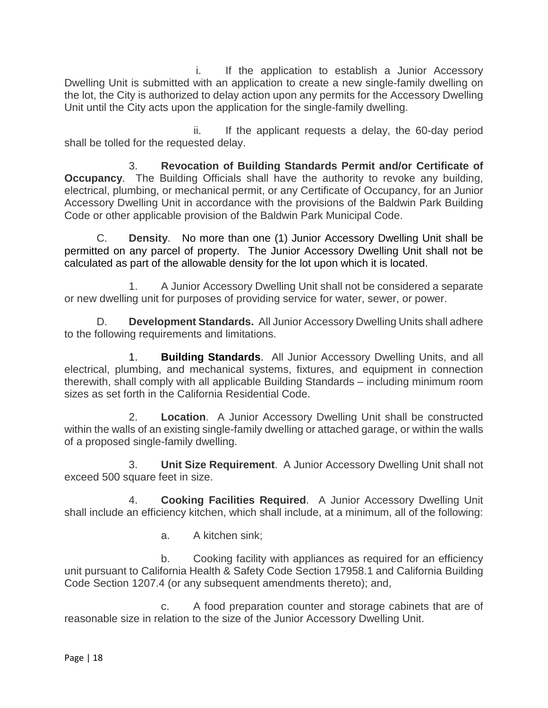i. If the application to establish a Junior Accessory Dwelling Unit is submitted with an application to create a new single-family dwelling on the lot, the City is authorized to delay action upon any permits for the Accessory Dwelling Unit until the City acts upon the application for the single-family dwelling.

ii. If the applicant requests a delay, the 60-day period shall be tolled for the requested delay.

3. **Revocation of Building Standards Permit and/or Certificate of Occupancy.** The Building Officials shall have the authority to revoke any building, electrical, plumbing, or mechanical permit, or any Certificate of Occupancy, for an Junior Accessory Dwelling Unit in accordance with the provisions of the Baldwin Park Building Code or other applicable provision of the Baldwin Park Municipal Code.

C. **Density**. No more than one (1) Junior Accessory Dwelling Unit shall be permitted on any parcel of property. The Junior Accessory Dwelling Unit shall not be calculated as part of the allowable density for the lot upon which it is located.

1. A Junior Accessory Dwelling Unit shall not be considered a separate or new dwelling unit for purposes of providing service for water, sewer, or power.

D. **Development Standards.** All Junior Accessory Dwelling Units shall adhere to the following requirements and limitations.

1. **Building Standards**. All Junior Accessory Dwelling Units, and all electrical, plumbing, and mechanical systems, fixtures, and equipment in connection therewith, shall comply with all applicable Building Standards – including minimum room sizes as set forth in the California Residential Code.

2. **Location**. A Junior Accessory Dwelling Unit shall be constructed within the walls of an existing single-family dwelling or attached garage, or within the walls of a proposed single-family dwelling.

3. **Unit Size Requirement**. A Junior Accessory Dwelling Unit shall not exceed 500 square feet in size.

4. **Cooking Facilities Required**. A Junior Accessory Dwelling Unit shall include an efficiency kitchen, which shall include, at a minimum, all of the following:

a. A kitchen sink;

b. Cooking facility with appliances as required for an efficiency unit pursuant to California Health & Safety Code Section 17958.1 and California Building Code Section 1207.4 (or any subsequent amendments thereto); and,

c. A food preparation counter and storage cabinets that are of reasonable size in relation to the size of the Junior Accessory Dwelling Unit.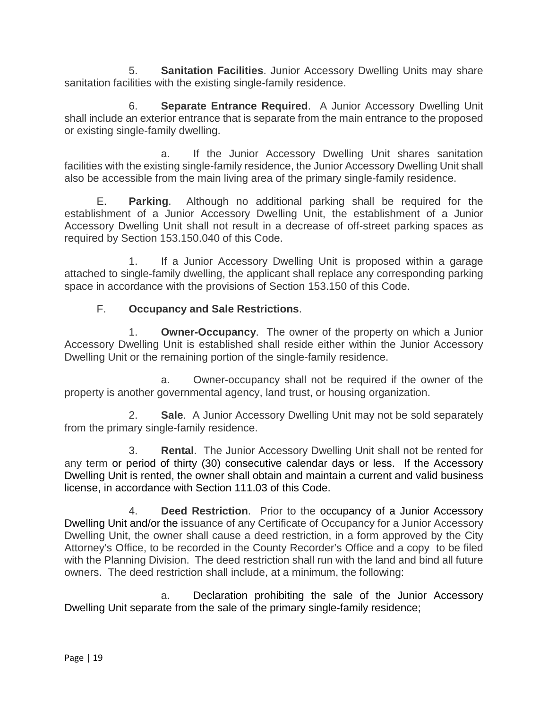5. **Sanitation Facilities**. Junior Accessory Dwelling Units may share sanitation facilities with the existing single-family residence.

6. **Separate Entrance Required**. A Junior Accessory Dwelling Unit shall include an exterior entrance that is separate from the main entrance to the proposed or existing single-family dwelling.

a. If the Junior Accessory Dwelling Unit shares sanitation facilities with the existing single-family residence, the Junior Accessory Dwelling Unit shall also be accessible from the main living area of the primary single-family residence.

E. **Parking**. Although no additional parking shall be required for the establishment of a Junior Accessory Dwelling Unit, the establishment of a Junior Accessory Dwelling Unit shall not result in a decrease of off-street parking spaces as required by Section 153.150.040 of this Code.

1. If a Junior Accessory Dwelling Unit is proposed within a garage attached to single-family dwelling, the applicant shall replace any corresponding parking space in accordance with the provisions of Section 153.150 of this Code.

# F. **Occupancy and Sale Restrictions**.

1. **Owner-Occupancy**. The owner of the property on which a Junior Accessory Dwelling Unit is established shall reside either within the Junior Accessory Dwelling Unit or the remaining portion of the single-family residence.

a. Owner-occupancy shall not be required if the owner of the property is another governmental agency, land trust, or housing organization.

2. **Sale**. A Junior Accessory Dwelling Unit may not be sold separately from the primary single-family residence.

3. **Rental**. The Junior Accessory Dwelling Unit shall not be rented for any term or period of thirty (30) consecutive calendar days or less. If the Accessory Dwelling Unit is rented, the owner shall obtain and maintain a current and valid business license, in accordance with Section 111.03 of this Code.

4. **Deed Restriction**. Prior to the occupancy of a Junior Accessory Dwelling Unit and/or the issuance of any Certificate of Occupancy for a Junior Accessory Dwelling Unit, the owner shall cause a deed restriction, in a form approved by the City Attorney's Office, to be recorded in the County Recorder's Office and a copy to be filed with the Planning Division. The deed restriction shall run with the land and bind all future owners. The deed restriction shall include, at a minimum, the following:

a. Declaration prohibiting the sale of the Junior Accessory Dwelling Unit separate from the sale of the primary single-family residence;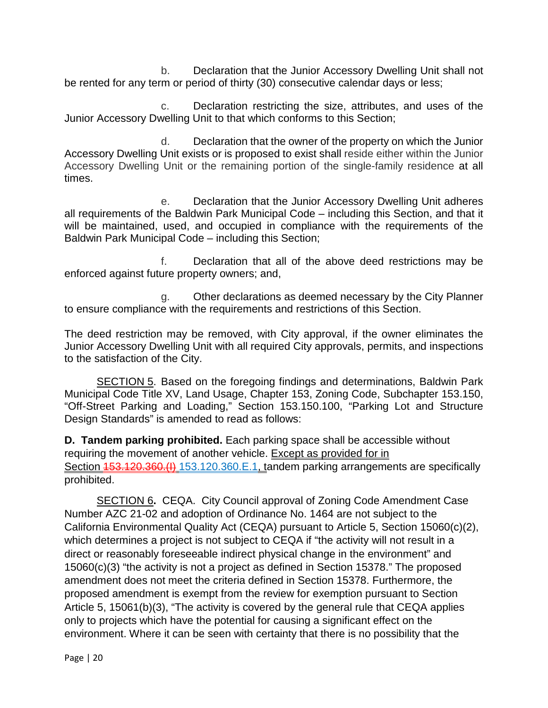b. Declaration that the Junior Accessory Dwelling Unit shall not be rented for any term or period of thirty (30) consecutive calendar days or less;

c. Declaration restricting the size, attributes, and uses of the Junior Accessory Dwelling Unit to that which conforms to this Section;

d. Declaration that the owner of the property on which the Junior Accessory Dwelling Unit exists or is proposed to exist shall reside either within the Junior Accessory Dwelling Unit or the remaining portion of the single-family residence at all times.

e. Declaration that the Junior Accessory Dwelling Unit adheres all requirements of the Baldwin Park Municipal Code – including this Section, and that it will be maintained, used, and occupied in compliance with the requirements of the Baldwin Park Municipal Code – including this Section;

f. Declaration that all of the above deed restrictions may be enforced against future property owners; and,

g. Other declarations as deemed necessary by the City Planner to ensure compliance with the requirements and restrictions of this Section.

The deed restriction may be removed, with City approval, if the owner eliminates the Junior Accessory Dwelling Unit with all required City approvals, permits, and inspections to the satisfaction of the City.

SECTION 5. Based on the foregoing findings and determinations, Baldwin Park Municipal Code Title XV, Land Usage, Chapter 153, Zoning Code, Subchapter 153.150, "Off-Street Parking and Loading," Section 153.150.100, "Parking Lot and Structure Design Standards" is amended to read as follows:

**D. Tandem parking prohibited.** Each parking space shall be accessible without requiring the movement of another vehicle. Except as provided for in Section 153.120.360.(I) 153.120.360.E.1, tandem parking arrangements are specifically prohibited.

SECTION 6**.** CEQA. City Council approval of Zoning Code Amendment Case Number AZC 21-02 and adoption of Ordinance No. 1464 are not subject to the California Environmental Quality Act (CEQA) pursuant to Article 5, Section 15060(c)(2), which determines a project is not subject to CEQA if "the activity will not result in a direct or reasonably foreseeable indirect physical change in the environment" and 15060(c)(3) "the activity is not a project as defined in Section 15378." The proposed amendment does not meet the criteria defined in Section 15378. Furthermore, the proposed amendment is exempt from the review for exemption pursuant to Section Article 5, 15061(b)(3), "The activity is covered by the general rule that CEQA applies only to projects which have the potential for causing a significant effect on the environment. Where it can be seen with certainty that there is no possibility that the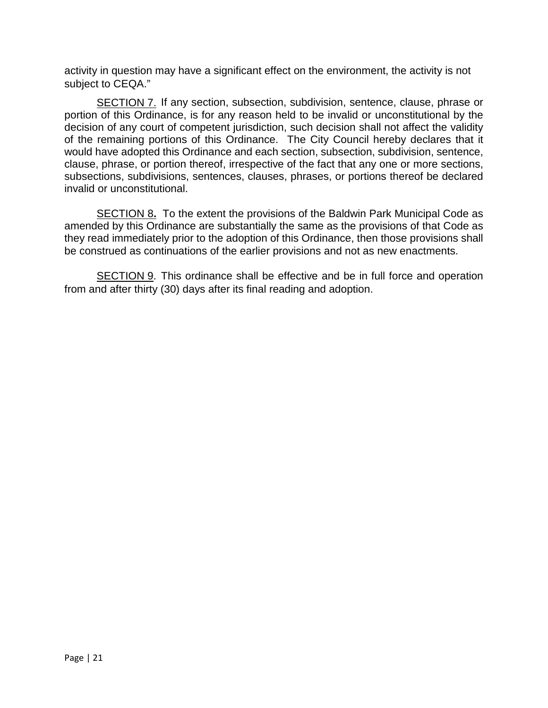activity in question may have a significant effect on the environment, the activity is not subject to CEQA."

SECTION 7. If any section, subsection, subdivision, sentence, clause, phrase or portion of this Ordinance, is for any reason held to be invalid or unconstitutional by the decision of any court of competent jurisdiction, such decision shall not affect the validity of the remaining portions of this Ordinance. The City Council hereby declares that it would have adopted this Ordinance and each section, subsection, subdivision, sentence, clause, phrase, or portion thereof, irrespective of the fact that any one or more sections, subsections, subdivisions, sentences, clauses, phrases, or portions thereof be declared invalid or unconstitutional.

SECTION 8**.** To the extent the provisions of the Baldwin Park Municipal Code as amended by this Ordinance are substantially the same as the provisions of that Code as they read immediately prior to the adoption of this Ordinance, then those provisions shall be construed as continuations of the earlier provisions and not as new enactments.

SECTION 9. This ordinance shall be effective and be in full force and operation from and after thirty (30) days after its final reading and adoption.